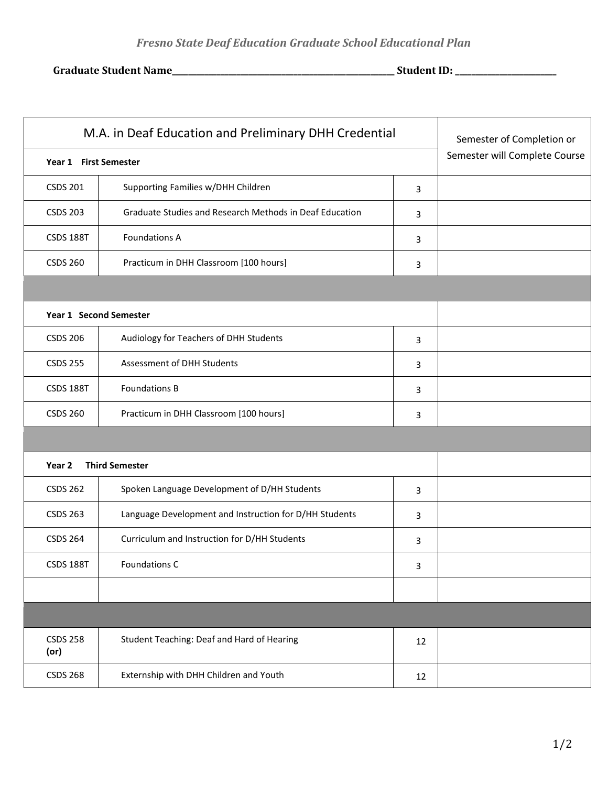**Graduate Student Name\_\_\_\_\_\_\_\_\_\_\_\_\_\_\_\_\_\_\_\_\_\_\_\_\_\_\_\_\_\_\_\_\_\_\_\_\_\_\_\_\_\_\_\_\_\_\_\_\_\_\_\_\_\_\_ Student ID: \_\_\_\_\_\_\_\_\_\_\_\_\_\_\_\_\_\_\_\_\_\_\_\_\_**

| M.A. in Deaf Education and Preliminary DHH Credential<br>Year 1 First Semester |                                                         |    | Semester of Completion or<br>Semester will Complete Course |
|--------------------------------------------------------------------------------|---------------------------------------------------------|----|------------------------------------------------------------|
|                                                                                |                                                         |    |                                                            |
| <b>CSDS 203</b>                                                                | Graduate Studies and Research Methods in Deaf Education | 3  |                                                            |
| <b>CSDS 188T</b>                                                               | <b>Foundations A</b>                                    | 3  |                                                            |
| <b>CSDS 260</b>                                                                | Practicum in DHH Classroom [100 hours]                  | 3  |                                                            |
|                                                                                |                                                         |    |                                                            |
| Year 1 Second Semester                                                         |                                                         |    |                                                            |
| <b>CSDS 206</b>                                                                | Audiology for Teachers of DHH Students                  | 3  |                                                            |
| <b>CSDS 255</b>                                                                | Assessment of DHH Students                              | 3  |                                                            |
| <b>CSDS 188T</b>                                                               | <b>Foundations B</b>                                    | 3  |                                                            |
| <b>CSDS 260</b>                                                                | Practicum in DHH Classroom [100 hours]                  | 3  |                                                            |
|                                                                                |                                                         |    |                                                            |
| Year 2                                                                         | <b>Third Semester</b>                                   |    |                                                            |
| <b>CSDS 262</b>                                                                | Spoken Language Development of D/HH Students            | 3  |                                                            |
| <b>CSDS 263</b>                                                                | Language Development and Instruction for D/HH Students  | 3  |                                                            |
| <b>CSDS 264</b>                                                                | Curriculum and Instruction for D/HH Students            | 3  |                                                            |
| <b>CSDS 188T</b>                                                               | Foundations C                                           | 3  |                                                            |
|                                                                                |                                                         |    |                                                            |
|                                                                                |                                                         |    |                                                            |
| <b>CSDS 258</b><br>(or)                                                        | Student Teaching: Deaf and Hard of Hearing              | 12 |                                                            |
| <b>CSDS 268</b>                                                                | Externship with DHH Children and Youth                  | 12 |                                                            |